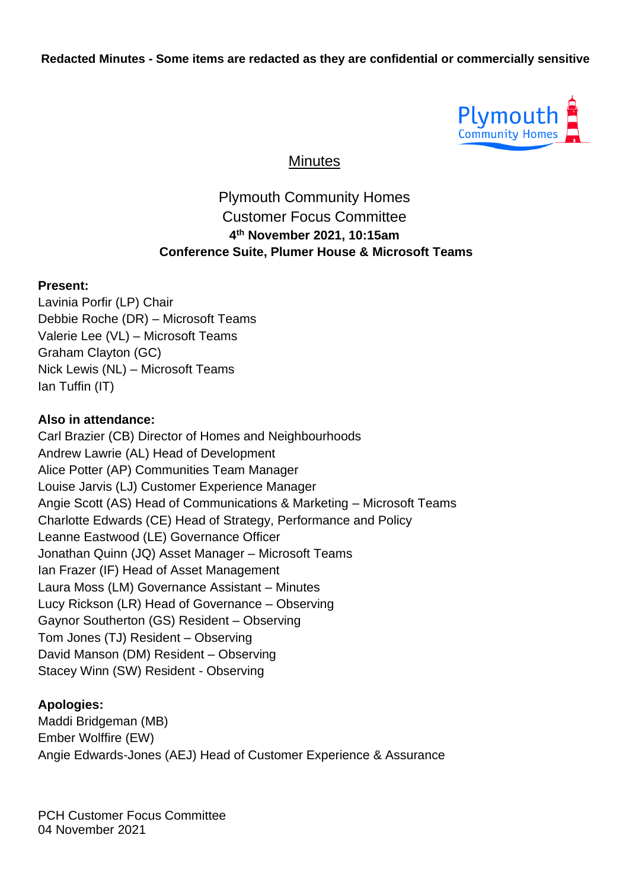

**Minutes** 

### Plymouth Community Homes Customer Focus Committee **4 th November 2021, 10:15am Conference Suite, Plumer House & Microsoft Teams**

#### **Present:**

Lavinia Porfir (LP) Chair Debbie Roche (DR) – Microsoft Teams Valerie Lee (VL) – Microsoft Teams Graham Clayton (GC) Nick Lewis (NL) – Microsoft Teams Ian Tuffin (IT)

#### **Also in attendance:**

Carl Brazier (CB) Director of Homes and Neighbourhoods Andrew Lawrie (AL) Head of Development Alice Potter (AP) Communities Team Manager Louise Jarvis (LJ) Customer Experience Manager Angie Scott (AS) Head of Communications & Marketing – Microsoft Teams Charlotte Edwards (CE) Head of Strategy, Performance and Policy Leanne Eastwood (LE) Governance Officer Jonathan Quinn (JQ) Asset Manager – Microsoft Teams Ian Frazer (IF) Head of Asset Management Laura Moss (LM) Governance Assistant – Minutes Lucy Rickson (LR) Head of Governance – Observing Gaynor Southerton (GS) Resident – Observing Tom Jones (TJ) Resident – Observing David Manson (DM) Resident – Observing Stacey Winn (SW) Resident - Observing

#### **Apologies:**

Maddi Bridgeman (MB) Ember Wolffire (EW) Angie Edwards-Jones (AEJ) Head of Customer Experience & Assurance

PCH Customer Focus Committee 04 November 2021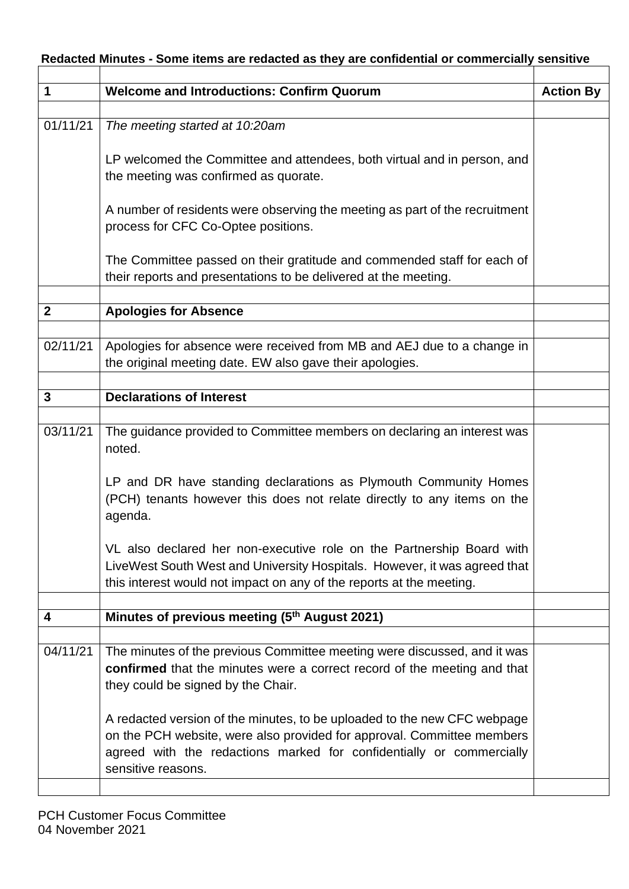| Redacted Minutes - Some items are redacted as they are confidential or commercially sensitive |  |  |  |
|-----------------------------------------------------------------------------------------------|--|--|--|
|                                                                                               |  |  |  |

| 1                | <b>Welcome and Introductions: Confirm Quorum</b>                                                                                                                                                                           | <b>Action By</b> |
|------------------|----------------------------------------------------------------------------------------------------------------------------------------------------------------------------------------------------------------------------|------------------|
|                  |                                                                                                                                                                                                                            |                  |
| 01/11/21         | The meeting started at 10:20am                                                                                                                                                                                             |                  |
|                  | LP welcomed the Committee and attendees, both virtual and in person, and                                                                                                                                                   |                  |
|                  | the meeting was confirmed as quorate.                                                                                                                                                                                      |                  |
|                  | A number of residents were observing the meeting as part of the recruitment<br>process for CFC Co-Optee positions.                                                                                                         |                  |
|                  | The Committee passed on their gratitude and commended staff for each of<br>their reports and presentations to be delivered at the meeting.                                                                                 |                  |
|                  |                                                                                                                                                                                                                            |                  |
| $\boldsymbol{2}$ | <b>Apologies for Absence</b>                                                                                                                                                                                               |                  |
|                  |                                                                                                                                                                                                                            |                  |
| 02/11/21         | Apologies for absence were received from MB and AEJ due to a change in<br>the original meeting date. EW also gave their apologies.                                                                                         |                  |
|                  |                                                                                                                                                                                                                            |                  |
| 3                | <b>Declarations of Interest</b>                                                                                                                                                                                            |                  |
|                  |                                                                                                                                                                                                                            |                  |
| 03/11/21         | The guidance provided to Committee members on declaring an interest was<br>noted.                                                                                                                                          |                  |
|                  | LP and DR have standing declarations as Plymouth Community Homes<br>(PCH) tenants however this does not relate directly to any items on the<br>agenda.                                                                     |                  |
|                  | VL also declared her non-executive role on the Partnership Board with<br>LiveWest South West and University Hospitals. However, it was agreed that<br>this interest would not impact on any of the reports at the meeting. |                  |
|                  |                                                                                                                                                                                                                            |                  |
| 4                | Minutes of previous meeting (5th August 2021)                                                                                                                                                                              |                  |
|                  |                                                                                                                                                                                                                            |                  |
| 04/11/21         | The minutes of the previous Committee meeting were discussed, and it was                                                                                                                                                   |                  |
|                  | confirmed that the minutes were a correct record of the meeting and that                                                                                                                                                   |                  |
|                  | they could be signed by the Chair.                                                                                                                                                                                         |                  |
|                  | A redacted version of the minutes, to be uploaded to the new CFC webpage                                                                                                                                                   |                  |
|                  | on the PCH website, were also provided for approval. Committee members                                                                                                                                                     |                  |
|                  | agreed with the redactions marked for confidentially or commercially<br>sensitive reasons.                                                                                                                                 |                  |
|                  |                                                                                                                                                                                                                            |                  |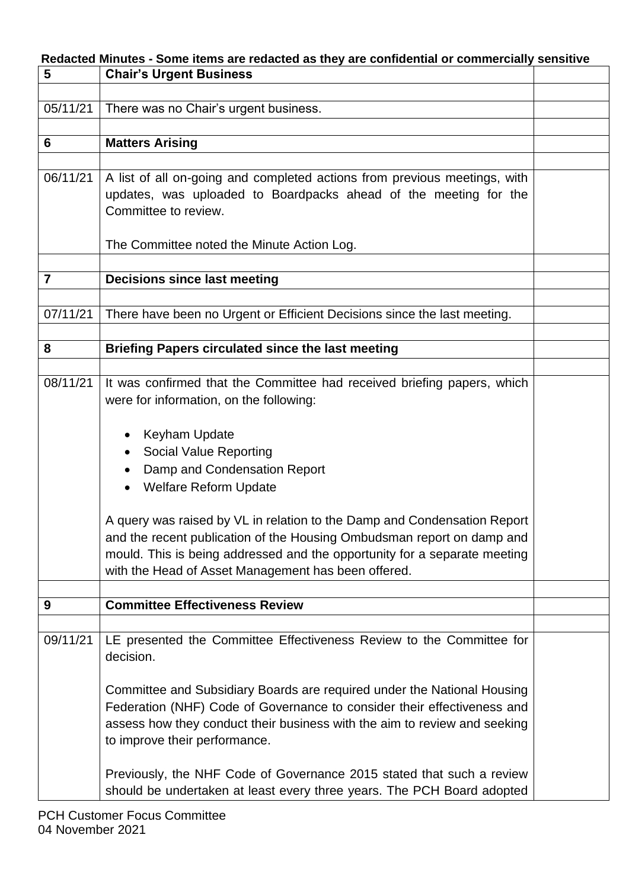|                | Redacted Minutes - Some items are redacted as they are confidential or commercially sensitive                                                                                                                                                                                          |  |
|----------------|----------------------------------------------------------------------------------------------------------------------------------------------------------------------------------------------------------------------------------------------------------------------------------------|--|
| 5              | <b>Chair's Urgent Business</b>                                                                                                                                                                                                                                                         |  |
|                |                                                                                                                                                                                                                                                                                        |  |
| 05/11/21       | There was no Chair's urgent business.                                                                                                                                                                                                                                                  |  |
|                |                                                                                                                                                                                                                                                                                        |  |
| 6              | <b>Matters Arising</b>                                                                                                                                                                                                                                                                 |  |
|                |                                                                                                                                                                                                                                                                                        |  |
| 06/11/21       | A list of all on-going and completed actions from previous meetings, with<br>updates, was uploaded to Boardpacks ahead of the meeting for the<br>Committee to review.                                                                                                                  |  |
|                | The Committee noted the Minute Action Log.                                                                                                                                                                                                                                             |  |
| $\overline{7}$ | <b>Decisions since last meeting</b>                                                                                                                                                                                                                                                    |  |
|                |                                                                                                                                                                                                                                                                                        |  |
| 07/11/21       | There have been no Urgent or Efficient Decisions since the last meeting.                                                                                                                                                                                                               |  |
|                |                                                                                                                                                                                                                                                                                        |  |
| 8              | <b>Briefing Papers circulated since the last meeting</b>                                                                                                                                                                                                                               |  |
|                |                                                                                                                                                                                                                                                                                        |  |
| 08/11/21       | It was confirmed that the Committee had received briefing papers, which<br>were for information, on the following:                                                                                                                                                                     |  |
|                | <b>Keyham Update</b>                                                                                                                                                                                                                                                                   |  |
|                | <b>Social Value Reporting</b>                                                                                                                                                                                                                                                          |  |
|                | Damp and Condensation Report                                                                                                                                                                                                                                                           |  |
|                | <b>Welfare Reform Update</b>                                                                                                                                                                                                                                                           |  |
|                | A query was raised by VL in relation to the Damp and Condensation Report<br>and the recent publication of the Housing Ombudsman report on damp and<br>mould. This is being addressed and the opportunity for a separate meeting<br>with the Head of Asset Management has been offered. |  |
|                |                                                                                                                                                                                                                                                                                        |  |
| 9              | <b>Committee Effectiveness Review</b>                                                                                                                                                                                                                                                  |  |
|                |                                                                                                                                                                                                                                                                                        |  |
| 09/11/21       | LE presented the Committee Effectiveness Review to the Committee for<br>decision.                                                                                                                                                                                                      |  |
|                | Committee and Subsidiary Boards are required under the National Housing                                                                                                                                                                                                                |  |
|                | Federation (NHF) Code of Governance to consider their effectiveness and                                                                                                                                                                                                                |  |
|                | assess how they conduct their business with the aim to review and seeking<br>to improve their performance.                                                                                                                                                                             |  |
|                | Previously, the NHF Code of Governance 2015 stated that such a review<br>should be undertaken at least every three years. The PCH Board adopted                                                                                                                                        |  |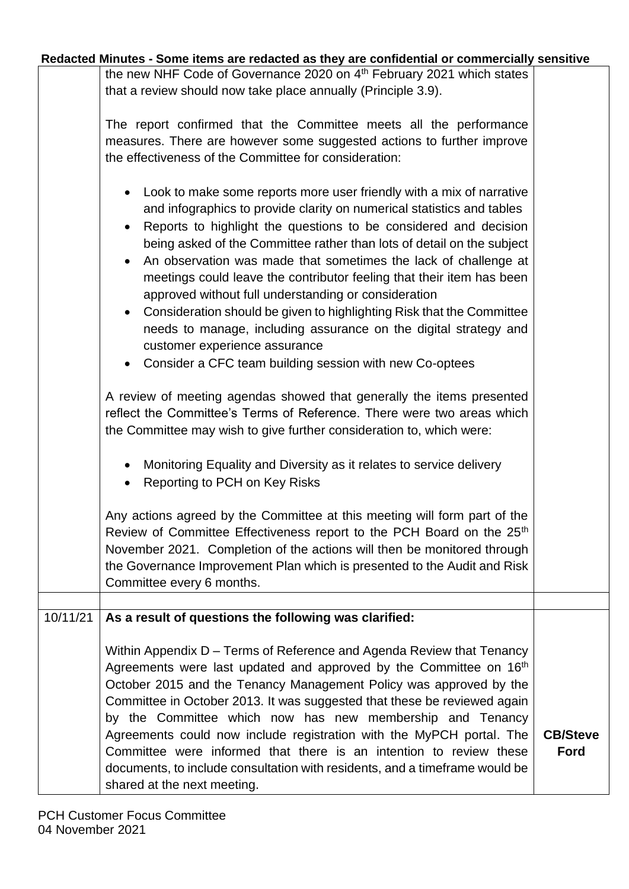| Redacted Minutes - Some items are redacted as they are confidential or commercially sensitive |  |  |
|-----------------------------------------------------------------------------------------------|--|--|
|-----------------------------------------------------------------------------------------------|--|--|

the new NHF Code of Governance 2020 on 4<sup>th</sup> February 2021 which states that a review should now take place annually (Principle 3.9).

|          | The report confirmed that the Committee meets all the performance<br>measures. There are however some suggested actions to further improve<br>the effectiveness of the Committee for consideration:                                                                                                                                                                                                                                                                                                                                                                                                                                                                                                                                         |                         |
|----------|---------------------------------------------------------------------------------------------------------------------------------------------------------------------------------------------------------------------------------------------------------------------------------------------------------------------------------------------------------------------------------------------------------------------------------------------------------------------------------------------------------------------------------------------------------------------------------------------------------------------------------------------------------------------------------------------------------------------------------------------|-------------------------|
|          | Look to make some reports more user friendly with a mix of narrative<br>and infographics to provide clarity on numerical statistics and tables<br>Reports to highlight the questions to be considered and decision<br>being asked of the Committee rather than lots of detail on the subject<br>An observation was made that sometimes the lack of challenge at<br>meetings could leave the contributor feeling that their item has been<br>approved without full understanding or consideration<br>Consideration should be given to highlighting Risk that the Committee<br>needs to manage, including assurance on the digital strategy and<br>customer experience assurance<br>• Consider a CFC team building session with new Co-optees |                         |
|          | A review of meeting agendas showed that generally the items presented<br>reflect the Committee's Terms of Reference. There were two areas which<br>the Committee may wish to give further consideration to, which were:                                                                                                                                                                                                                                                                                                                                                                                                                                                                                                                     |                         |
|          | Monitoring Equality and Diversity as it relates to service delivery<br>Reporting to PCH on Key Risks                                                                                                                                                                                                                                                                                                                                                                                                                                                                                                                                                                                                                                        |                         |
|          | Any actions agreed by the Committee at this meeting will form part of the<br>Review of Committee Effectiveness report to the PCH Board on the 25th<br>November 2021. Completion of the actions will then be monitored through<br>the Governance Improvement Plan which is presented to the Audit and Risk<br>Committee every 6 months.                                                                                                                                                                                                                                                                                                                                                                                                      |                         |
|          |                                                                                                                                                                                                                                                                                                                                                                                                                                                                                                                                                                                                                                                                                                                                             |                         |
| 10/11/21 | As a result of questions the following was clarified:<br>Within Appendix D – Terms of Reference and Agenda Review that Tenancy<br>Agreements were last updated and approved by the Committee on 16 <sup>th</sup><br>October 2015 and the Tenancy Management Policy was approved by the<br>Committee in October 2013. It was suggested that these be reviewed again<br>by the Committee which now has new membership and Tenancy<br>Agreements could now include registration with the MyPCH portal. The<br>Committee were informed that there is an intention to review these<br>documents, to include consultation with residents, and a timeframe would be<br>shared at the next meeting.                                                 | <b>CB/Steve</b><br>Ford |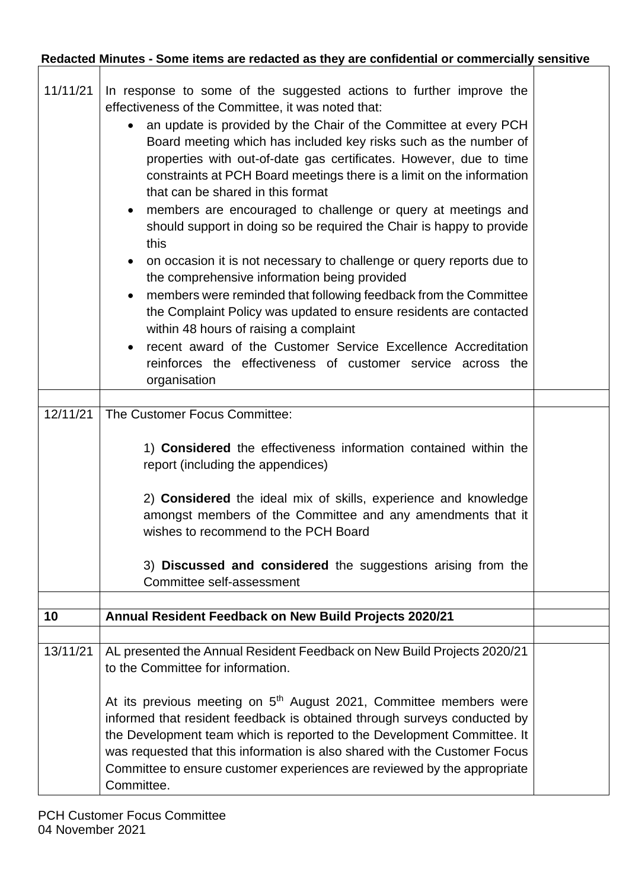$\overline{\phantom{a}}$ 

| 11/11/21<br>12/11/21 | In response to some of the suggested actions to further improve the<br>effectiveness of the Committee, it was noted that:<br>an update is provided by the Chair of the Committee at every PCH<br>$\bullet$<br>Board meeting which has included key risks such as the number of<br>properties with out-of-date gas certificates. However, due to time<br>constraints at PCH Board meetings there is a limit on the information<br>that can be shared in this format<br>members are encouraged to challenge or query at meetings and<br>should support in doing so be required the Chair is happy to provide<br>this<br>on occasion it is not necessary to challenge or query reports due to<br>$\bullet$<br>the comprehensive information being provided<br>members were reminded that following feedback from the Committee<br>the Complaint Policy was updated to ensure residents are contacted<br>within 48 hours of raising a complaint<br>recent award of the Customer Service Excellence Accreditation<br>reinforces the effectiveness of customer service across the<br>organisation<br>The Customer Focus Committee:<br>1) <b>Considered</b> the effectiveness information contained within the<br>report (including the appendices)<br>2) Considered the ideal mix of skills, experience and knowledge<br>amongst members of the Committee and any amendments that it |  |
|----------------------|--------------------------------------------------------------------------------------------------------------------------------------------------------------------------------------------------------------------------------------------------------------------------------------------------------------------------------------------------------------------------------------------------------------------------------------------------------------------------------------------------------------------------------------------------------------------------------------------------------------------------------------------------------------------------------------------------------------------------------------------------------------------------------------------------------------------------------------------------------------------------------------------------------------------------------------------------------------------------------------------------------------------------------------------------------------------------------------------------------------------------------------------------------------------------------------------------------------------------------------------------------------------------------------------------------------------------------------------------------------------------------|--|
|                      | wishes to recommend to the PCH Board<br>3) Discussed and considered the suggestions arising from the<br>Committee self-assessment                                                                                                                                                                                                                                                                                                                                                                                                                                                                                                                                                                                                                                                                                                                                                                                                                                                                                                                                                                                                                                                                                                                                                                                                                                              |  |
| 10                   | Annual Resident Feedback on New Build Projects 2020/21                                                                                                                                                                                                                                                                                                                                                                                                                                                                                                                                                                                                                                                                                                                                                                                                                                                                                                                                                                                                                                                                                                                                                                                                                                                                                                                         |  |
|                      |                                                                                                                                                                                                                                                                                                                                                                                                                                                                                                                                                                                                                                                                                                                                                                                                                                                                                                                                                                                                                                                                                                                                                                                                                                                                                                                                                                                |  |
| 13/11/21             | AL presented the Annual Resident Feedback on New Build Projects 2020/21<br>to the Committee for information.                                                                                                                                                                                                                                                                                                                                                                                                                                                                                                                                                                                                                                                                                                                                                                                                                                                                                                                                                                                                                                                                                                                                                                                                                                                                   |  |
|                      | At its previous meeting on 5 <sup>th</sup> August 2021, Committee members were<br>informed that resident feedback is obtained through surveys conducted by<br>the Development team which is reported to the Development Committee. It<br>was requested that this information is also shared with the Customer Focus<br>Committee to ensure customer experiences are reviewed by the appropriate<br>Committee.                                                                                                                                                                                                                                                                                                                                                                                                                                                                                                                                                                                                                                                                                                                                                                                                                                                                                                                                                                  |  |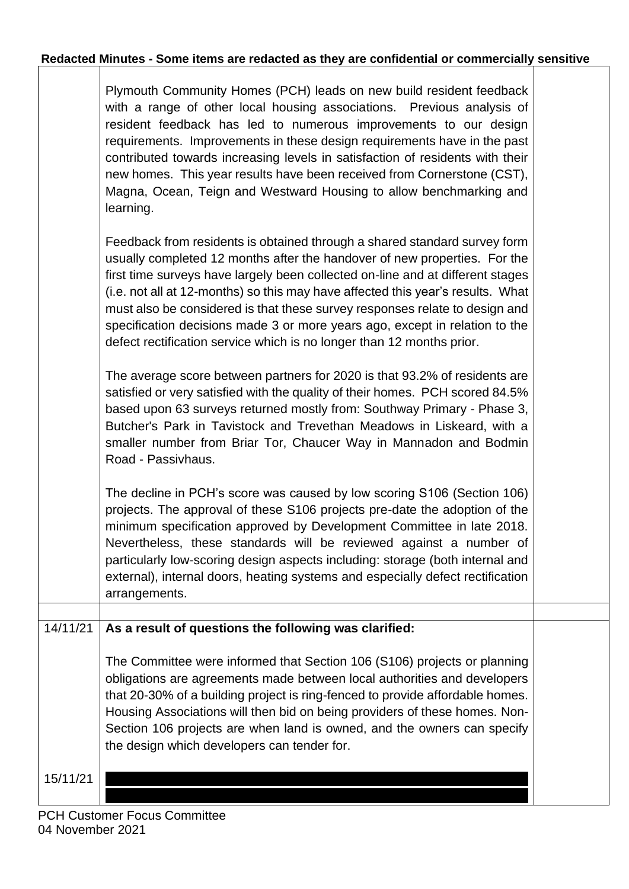|          | Plymouth Community Homes (PCH) leads on new build resident feedback<br>with a range of other local housing associations. Previous analysis of<br>resident feedback has led to numerous improvements to our design<br>requirements. Improvements in these design requirements have in the past<br>contributed towards increasing levels in satisfaction of residents with their<br>new homes. This year results have been received from Cornerstone (CST),<br>Magna, Ocean, Teign and Westward Housing to allow benchmarking and<br>learning.                       |  |
|----------|--------------------------------------------------------------------------------------------------------------------------------------------------------------------------------------------------------------------------------------------------------------------------------------------------------------------------------------------------------------------------------------------------------------------------------------------------------------------------------------------------------------------------------------------------------------------|--|
|          | Feedback from residents is obtained through a shared standard survey form<br>usually completed 12 months after the handover of new properties. For the<br>first time surveys have largely been collected on-line and at different stages<br>(i.e. not all at 12-months) so this may have affected this year's results. What<br>must also be considered is that these survey responses relate to design and<br>specification decisions made 3 or more years ago, except in relation to the<br>defect rectification service which is no longer than 12 months prior. |  |
|          | The average score between partners for 2020 is that 93.2% of residents are<br>satisfied or very satisfied with the quality of their homes. PCH scored 84.5%<br>based upon 63 surveys returned mostly from: Southway Primary - Phase 3,<br>Butcher's Park in Tavistock and Trevethan Meadows in Liskeard, with a<br>smaller number from Briar Tor, Chaucer Way in Mannadon and Bodmin<br>Road - Passivhaus.                                                                                                                                                         |  |
|          | The decline in PCH's score was caused by low scoring S106 (Section 106)<br>projects. The approval of these S106 projects pre-date the adoption of the<br>minimum specification approved by Development Committee in late 2018.<br>Nevertheless, these standards will be reviewed against a number of<br>particularly low-scoring design aspects including: storage (both internal and<br>external), internal doors, heating systems and especially defect rectification<br>arrangements.                                                                           |  |
|          |                                                                                                                                                                                                                                                                                                                                                                                                                                                                                                                                                                    |  |
| 14/11/21 | As a result of questions the following was clarified:<br>The Committee were informed that Section 106 (S106) projects or planning<br>obligations are agreements made between local authorities and developers<br>that 20-30% of a building project is ring-fenced to provide affordable homes.<br>Housing Associations will then bid on being providers of these homes. Non-<br>Section 106 projects are when land is owned, and the owners can specify<br>the design which developers can tender for.                                                             |  |
| 15/11/21 |                                                                                                                                                                                                                                                                                                                                                                                                                                                                                                                                                                    |  |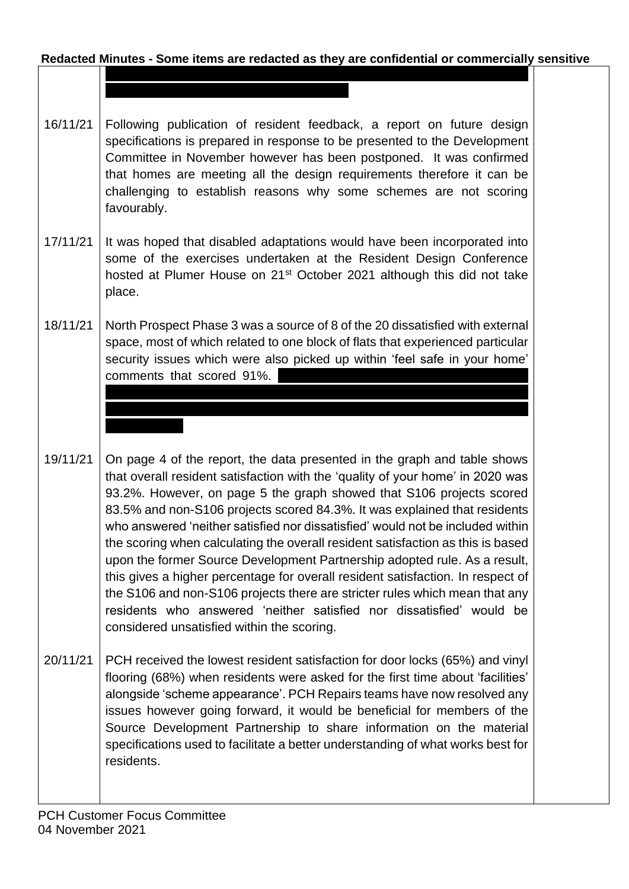**Redacted Minutes - Some items are redacted as they are confidential or commercially sensitive** now engaging the system which is starting to produce better results. This will

- 16/11/21 Following publication of resident feedback, a report on future design specifications is prepared in response to be presented to the Development Committee in November however has been postponed. It was confirmed that homes are meeting all the design requirements therefore it can be challenging to establish reasons why some schemes are not scoring favourably.
- 17/11/21 It was hoped that disabled adaptations would have been incorporated into some of the exercises undertaken at the Resident Design Conference hosted at Plumer House on 21<sup>st</sup> October 2021 although this did not take place.
- 18/11/21 North Prospect Phase 3 was a source of 8 of the 20 dissatisfied with external space, most of which related to one block of flats that experienced particular security issues which were also picked up within 'feel safe in your home' comments that scored 91%.

instance of one resident keeping an external door open to conduct anti-social behaviour/criminal activity. This is now being dealt with by housing

- 19/11/21 On page 4 of the report, the data presented in the graph and table shows that overall resident satisfaction with the 'quality of your home' in 2020 was 93.2%. However, on page 5 the graph showed that S106 projects scored 83.5% and non-S106 projects scored 84.3%. It was explained that residents who answered 'neither satisfied nor dissatisfied' would not be included within the scoring when calculating the overall resident satisfaction as this is based upon the former Source Development Partnership adopted rule. As a result, this gives a higher percentage for overall resident satisfaction. In respect of the S106 and non-S106 projects there are stricter rules which mean that any residents who answered 'neither satisfied nor dissatisfied' would be considered unsatisfied within the scoring.
- 20/11/21 PCH received the lowest resident satisfaction for door locks (65%) and vinyl flooring (68%) when residents were asked for the first time about 'facilities' alongside 'scheme appearance'. PCH Repairs teams have now resolved any issues however going forward, it would be beneficial for members of the Source Development Partnership to share information on the material specifications used to facilitate a better understanding of what works best for residents.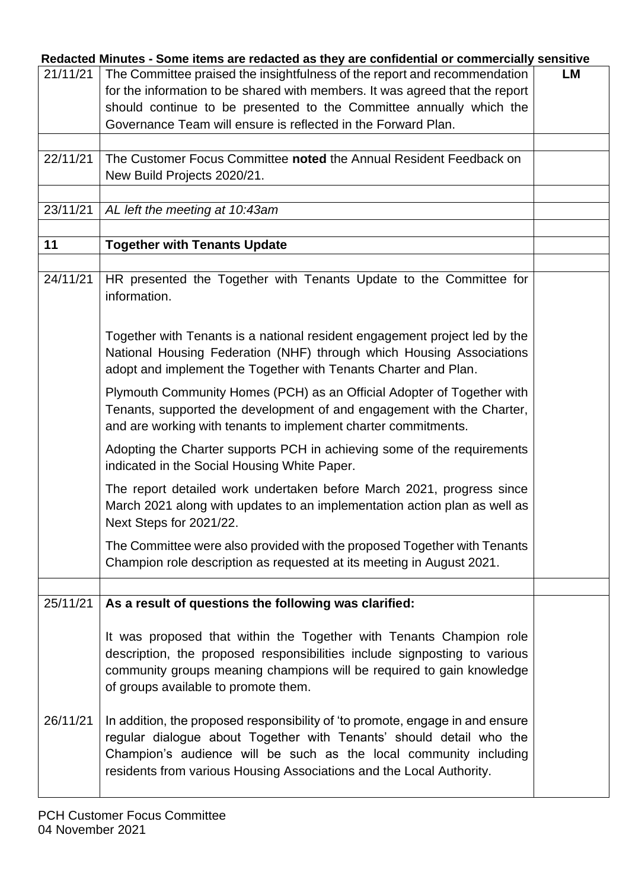|          | advied minutes - Johne Renis are reudvied as they are computing or commercially sensitive                                               |    |
|----------|-----------------------------------------------------------------------------------------------------------------------------------------|----|
| 21/11/21 | The Committee praised the insightfulness of the report and recommendation                                                               | LM |
|          | for the information to be shared with members. It was agreed that the report                                                            |    |
|          |                                                                                                                                         |    |
|          | should continue to be presented to the Committee annually which the                                                                     |    |
|          | Governance Team will ensure is reflected in the Forward Plan.                                                                           |    |
|          |                                                                                                                                         |    |
| 22/11/21 | The Customer Focus Committee noted the Annual Resident Feedback on                                                                      |    |
|          | New Build Projects 2020/21.                                                                                                             |    |
|          |                                                                                                                                         |    |
|          |                                                                                                                                         |    |
| 23/11/21 | AL left the meeting at 10:43am                                                                                                          |    |
|          |                                                                                                                                         |    |
| 11       | <b>Together with Tenants Update</b>                                                                                                     |    |
|          |                                                                                                                                         |    |
| 24/11/21 | HR presented the Together with Tenants Update to the Committee for<br>information.                                                      |    |
|          | Together with Tenants is a national resident engagement project led by the                                                              |    |
|          | National Housing Federation (NHF) through which Housing Associations<br>adopt and implement the Together with Tenants Charter and Plan. |    |
|          | Plymouth Community Homes (PCH) as an Official Adopter of Together with                                                                  |    |
|          |                                                                                                                                         |    |
|          | Tenants, supported the development of and engagement with the Charter,                                                                  |    |
|          | and are working with tenants to implement charter commitments.                                                                          |    |
|          | Adopting the Charter supports PCH in achieving some of the requirements                                                                 |    |
|          | indicated in the Social Housing White Paper.                                                                                            |    |
|          | The report detailed work undertaken before March 2021, progress since                                                                   |    |
|          |                                                                                                                                         |    |
|          | March 2021 along with updates to an implementation action plan as well as<br>Next Steps for 2021/22.                                    |    |
|          |                                                                                                                                         |    |
|          | The Committee were also provided with the proposed Together with Tenants                                                                |    |
|          | Champion role description as requested at its meeting in August 2021.                                                                   |    |
|          |                                                                                                                                         |    |
| 25/11/21 | As a result of questions the following was clarified:                                                                                   |    |
|          |                                                                                                                                         |    |
|          | It was proposed that within the Together with Tenants Champion role                                                                     |    |
|          |                                                                                                                                         |    |
|          | description, the proposed responsibilities include signposting to various                                                               |    |
|          | community groups meaning champions will be required to gain knowledge                                                                   |    |
|          | of groups available to promote them.                                                                                                    |    |
|          |                                                                                                                                         |    |
|          |                                                                                                                                         |    |
| 26/11/21 | In addition, the proposed responsibility of 'to promote, engage in and ensure                                                           |    |
|          | regular dialogue about Together with Tenants' should detail who the                                                                     |    |
|          | Champion's audience will be such as the local community including                                                                       |    |
|          | residents from various Housing Associations and the Local Authority.                                                                    |    |
|          |                                                                                                                                         |    |
|          |                                                                                                                                         |    |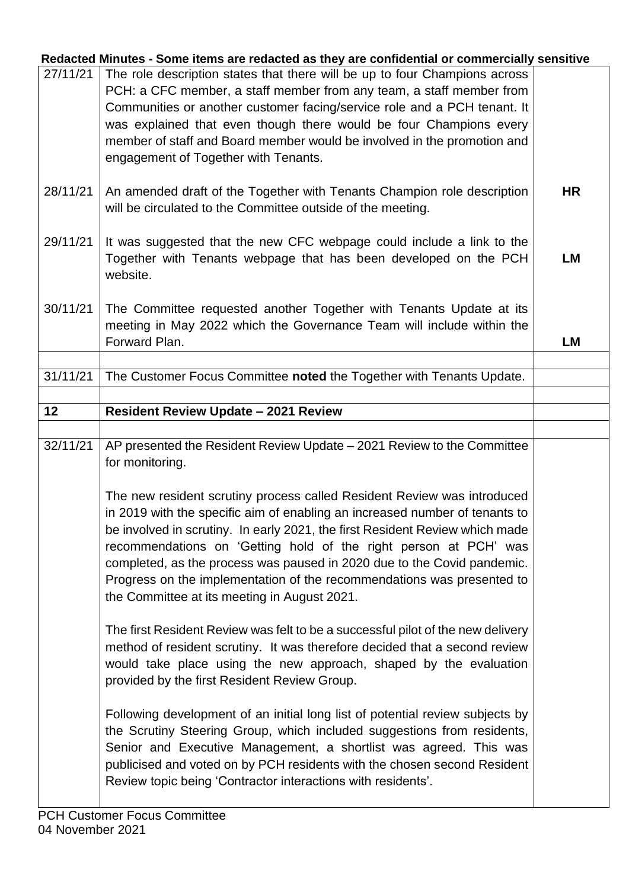|          | Redacted Minutes - Some items are redacted as they are confidential or commercially sensitive                                                                                                                                                                                                                                                                                                                                                                                                                   |           |
|----------|-----------------------------------------------------------------------------------------------------------------------------------------------------------------------------------------------------------------------------------------------------------------------------------------------------------------------------------------------------------------------------------------------------------------------------------------------------------------------------------------------------------------|-----------|
| 27/11/21 | The role description states that there will be up to four Champions across<br>PCH: a CFC member, a staff member from any team, a staff member from<br>Communities or another customer facing/service role and a PCH tenant. It<br>was explained that even though there would be four Champions every<br>member of staff and Board member would be involved in the promotion and<br>engagement of Together with Tenants.                                                                                         |           |
| 28/11/21 | An amended draft of the Together with Tenants Champion role description<br>will be circulated to the Committee outside of the meeting.                                                                                                                                                                                                                                                                                                                                                                          | <b>HR</b> |
| 29/11/21 | It was suggested that the new CFC webpage could include a link to the<br>Together with Tenants webpage that has been developed on the PCH<br>website.                                                                                                                                                                                                                                                                                                                                                           | <b>LM</b> |
| 30/11/21 | The Committee requested another Together with Tenants Update at its<br>meeting in May 2022 which the Governance Team will include within the<br>Forward Plan.                                                                                                                                                                                                                                                                                                                                                   | <b>LM</b> |
|          |                                                                                                                                                                                                                                                                                                                                                                                                                                                                                                                 |           |
| 31/11/21 | The Customer Focus Committee noted the Together with Tenants Update.                                                                                                                                                                                                                                                                                                                                                                                                                                            |           |
| 12       | <b>Resident Review Update - 2021 Review</b>                                                                                                                                                                                                                                                                                                                                                                                                                                                                     |           |
|          |                                                                                                                                                                                                                                                                                                                                                                                                                                                                                                                 |           |
| 32/11/21 | AP presented the Resident Review Update - 2021 Review to the Committee<br>for monitoring.                                                                                                                                                                                                                                                                                                                                                                                                                       |           |
|          | The new resident scrutiny process called Resident Review was introduced<br>in 2019 with the specific aim of enabling an increased number of tenants to<br>be involved in scrutiny. In early 2021, the first Resident Review which made<br>recommendations on 'Getting hold of the right person at PCH' was<br>completed, as the process was paused in 2020 due to the Covid pandemic.<br>Progress on the implementation of the recommendations was presented to<br>the Committee at its meeting in August 2021. |           |
|          | The first Resident Review was felt to be a successful pilot of the new delivery<br>method of resident scrutiny. It was therefore decided that a second review<br>would take place using the new approach, shaped by the evaluation<br>provided by the first Resident Review Group.                                                                                                                                                                                                                              |           |
|          | Following development of an initial long list of potential review subjects by<br>the Scrutiny Steering Group, which included suggestions from residents,<br>Senior and Executive Management, a shortlist was agreed. This was                                                                                                                                                                                                                                                                                   |           |
|          | publicised and voted on by PCH residents with the chosen second Resident<br>Review topic being 'Contractor interactions with residents'.<br><b>PCH Customer Focus Committee</b>                                                                                                                                                                                                                                                                                                                                 |           |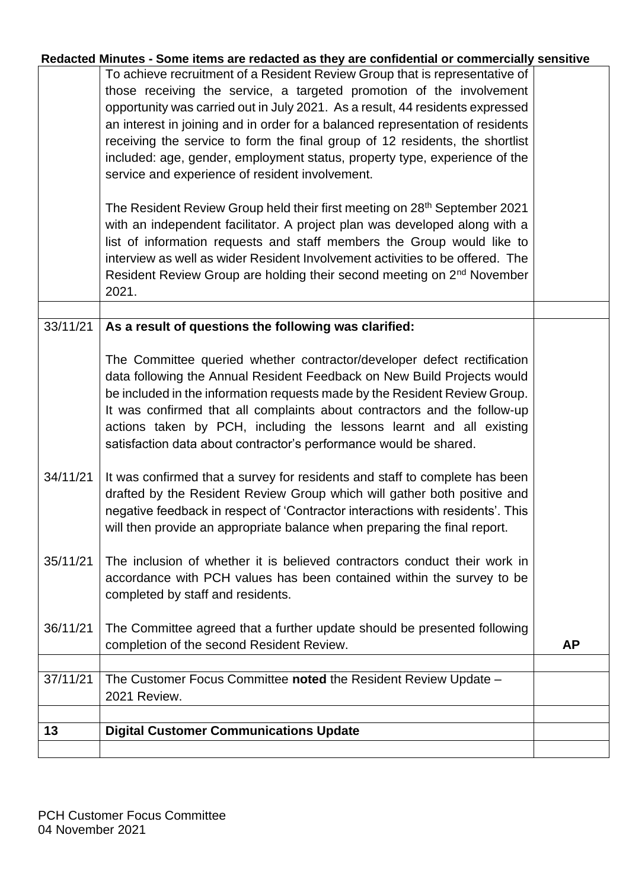|          | Redacted Minutes - Some items are redacted as they are confidential or commercially sensitive |           |
|----------|-----------------------------------------------------------------------------------------------|-----------|
|          | To achieve recruitment of a Resident Review Group that is representative of                   |           |
|          | those receiving the service, a targeted promotion of the involvement                          |           |
|          | opportunity was carried out in July 2021. As a result, 44 residents expressed                 |           |
|          | an interest in joining and in order for a balanced representation of residents                |           |
|          | receiving the service to form the final group of 12 residents, the shortlist                  |           |
|          | included: age, gender, employment status, property type, experience of the                    |           |
|          | service and experience of resident involvement.                                               |           |
|          |                                                                                               |           |
|          | The Resident Review Group held their first meeting on 28 <sup>th</sup> September 2021         |           |
|          | with an independent facilitator. A project plan was developed along with a                    |           |
|          | list of information requests and staff members the Group would like to                        |           |
|          | interview as well as wider Resident Involvement activities to be offered. The                 |           |
|          | Resident Review Group are holding their second meeting on 2 <sup>nd</sup> November            |           |
|          | 2021.                                                                                         |           |
|          |                                                                                               |           |
| 33/11/21 |                                                                                               |           |
|          | As a result of questions the following was clarified:                                         |           |
|          |                                                                                               |           |
|          | The Committee queried whether contractor/developer defect rectification                       |           |
|          | data following the Annual Resident Feedback on New Build Projects would                       |           |
|          | be included in the information requests made by the Resident Review Group.                    |           |
|          | It was confirmed that all complaints about contractors and the follow-up                      |           |
|          | actions taken by PCH, including the lessons learnt and all existing                           |           |
|          | satisfaction data about contractor's performance would be shared.                             |           |
|          |                                                                                               |           |
| 34/11/21 | It was confirmed that a survey for residents and staff to complete has been                   |           |
|          | drafted by the Resident Review Group which will gather both positive and                      |           |
|          | negative feedback in respect of 'Contractor interactions with residents'. This                |           |
|          | will then provide an appropriate balance when preparing the final report.                     |           |
|          |                                                                                               |           |
| 35/11/21 | The inclusion of whether it is believed contractors conduct their work in                     |           |
|          | accordance with PCH values has been contained within the survey to be                         |           |
|          | completed by staff and residents.                                                             |           |
|          |                                                                                               |           |
| 36/11/21 | The Committee agreed that a further update should be presented following                      |           |
|          | completion of the second Resident Review.                                                     | <b>AP</b> |
|          |                                                                                               |           |
| 37/11/21 | The Customer Focus Committee noted the Resident Review Update -                               |           |
|          | 2021 Review.                                                                                  |           |
|          |                                                                                               |           |
| 13       | <b>Digital Customer Communications Update</b>                                                 |           |
|          |                                                                                               |           |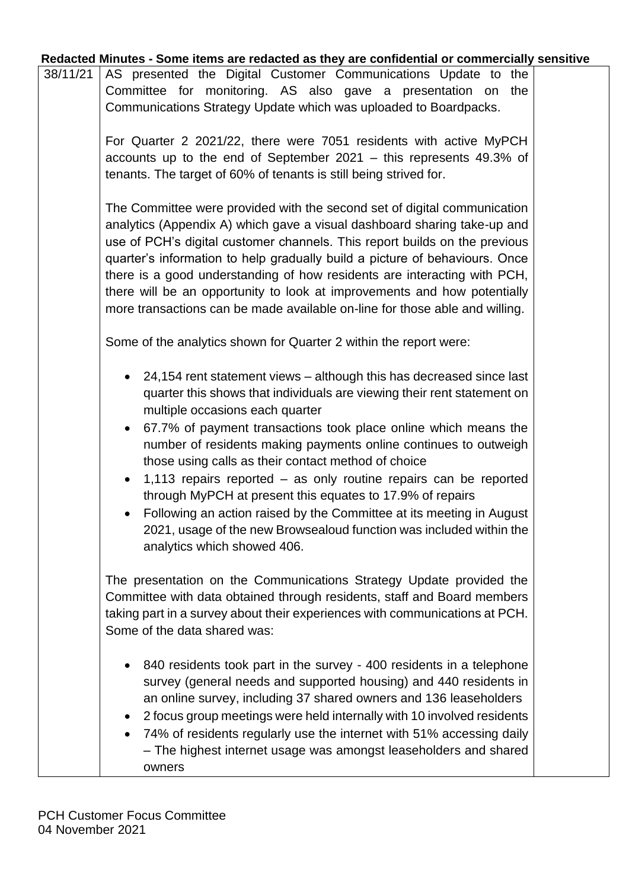| 38/11/21 | AS presented the Digital Customer Communications Update to the<br>Committee for monitoring. AS also gave a presentation on<br>the<br>Communications Strategy Update which was uploaded to Boardpacks.                                                                                                                                                                                                                                                                                                                                                                                                                                                                                                                                    |        |
|----------|------------------------------------------------------------------------------------------------------------------------------------------------------------------------------------------------------------------------------------------------------------------------------------------------------------------------------------------------------------------------------------------------------------------------------------------------------------------------------------------------------------------------------------------------------------------------------------------------------------------------------------------------------------------------------------------------------------------------------------------|--------|
|          | For Quarter 2 2021/22, there were 7051 residents with active MyPCH<br>accounts up to the end of September 2021 - this represents 49.3% of<br>tenants. The target of 60% of tenants is still being strived for.                                                                                                                                                                                                                                                                                                                                                                                                                                                                                                                           |        |
|          | The Committee were provided with the second set of digital communication<br>analytics (Appendix A) which gave a visual dashboard sharing take-up and<br>use of PCH's digital customer channels. This report builds on the previous<br>quarter's information to help gradually build a picture of behaviours. Once<br>there is a good understanding of how residents are interacting with PCH,<br>there will be an opportunity to look at improvements and how potentially<br>more transactions can be made available on-line for those able and willing.                                                                                                                                                                                 |        |
|          | Some of the analytics shown for Quarter 2 within the report were:                                                                                                                                                                                                                                                                                                                                                                                                                                                                                                                                                                                                                                                                        |        |
|          | 24,154 rent statement views – although this has decreased since last<br>quarter this shows that individuals are viewing their rent statement on<br>multiple occasions each quarter<br>67.7% of payment transactions took place online which means the<br>$\bullet$<br>number of residents making payments online continues to outweigh<br>those using calls as their contact method of choice<br>1,113 repairs reported $-$ as only routine repairs can be reported<br>$\bullet$<br>through MyPCH at present this equates to 17.9% of repairs<br>Following an action raised by the Committee at its meeting in August<br>$\bullet$<br>2021, usage of the new Browsealoud function was included within the<br>analytics which showed 406. |        |
|          | The presentation on the Communications Strategy Update provided the<br>Committee with data obtained through residents, staff and Board members<br>taking part in a survey about their experiences with communications at PCH.<br>Some of the data shared was:                                                                                                                                                                                                                                                                                                                                                                                                                                                                            |        |
|          | 840 residents took part in the survey - 400 residents in a telephone<br>$\bullet$<br>survey (general needs and supported housing) and 440 residents in<br>an online survey, including 37 shared owners and 136 leaseholders<br>2 focus group meetings were held internally with 10 involved residents<br>$\bullet$<br>74% of residents regularly use the internet with 51% accessing daily<br>$\bullet$<br>- The highest internet usage was amongst leaseholders and shared                                                                                                                                                                                                                                                              |        |
|          |                                                                                                                                                                                                                                                                                                                                                                                                                                                                                                                                                                                                                                                                                                                                          | owners |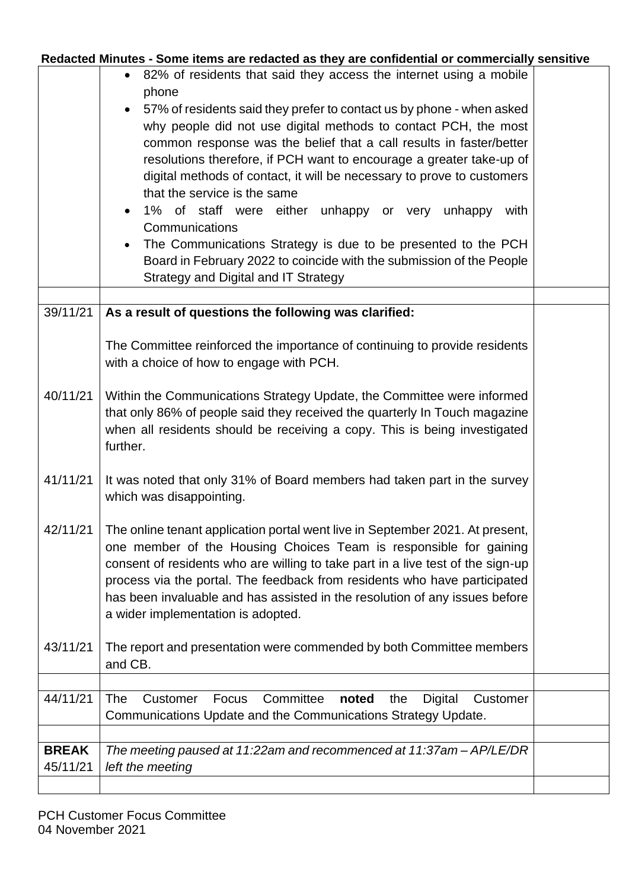|                          | 82% of residents that said they access the internet using a mobile<br>phone<br>57% of residents said they prefer to contact us by phone - when asked<br>why people did not use digital methods to contact PCH, the most<br>common response was the belief that a call results in faster/better<br>resolutions therefore, if PCH want to encourage a greater take-up of<br>digital methods of contact, it will be necessary to prove to customers<br>that the service is the same<br>1% of staff were either unhappy or very unhappy<br>with<br>Communications<br>The Communications Strategy is due to be presented to the PCH<br>Board in February 2022 to coincide with the submission of the People<br><b>Strategy and Digital and IT Strategy</b> |  |
|--------------------------|-------------------------------------------------------------------------------------------------------------------------------------------------------------------------------------------------------------------------------------------------------------------------------------------------------------------------------------------------------------------------------------------------------------------------------------------------------------------------------------------------------------------------------------------------------------------------------------------------------------------------------------------------------------------------------------------------------------------------------------------------------|--|
|                          |                                                                                                                                                                                                                                                                                                                                                                                                                                                                                                                                                                                                                                                                                                                                                       |  |
| 39/11/21                 | As a result of questions the following was clarified:                                                                                                                                                                                                                                                                                                                                                                                                                                                                                                                                                                                                                                                                                                 |  |
|                          | The Committee reinforced the importance of continuing to provide residents<br>with a choice of how to engage with PCH.                                                                                                                                                                                                                                                                                                                                                                                                                                                                                                                                                                                                                                |  |
| 40/11/21                 | Within the Communications Strategy Update, the Committee were informed<br>that only 86% of people said they received the quarterly In Touch magazine<br>when all residents should be receiving a copy. This is being investigated<br>further.                                                                                                                                                                                                                                                                                                                                                                                                                                                                                                         |  |
| 41/11/21                 | It was noted that only 31% of Board members had taken part in the survey<br>which was disappointing.                                                                                                                                                                                                                                                                                                                                                                                                                                                                                                                                                                                                                                                  |  |
| 42/11/21                 | The online tenant application portal went live in September 2021. At present,<br>one member of the Housing Choices Team is responsible for gaining<br>consent of residents who are willing to take part in a live test of the sign-up<br>process via the portal. The feedback from residents who have participated<br>has been invaluable and has assisted in the resolution of any issues before<br>a wider implementation is adopted.                                                                                                                                                                                                                                                                                                               |  |
| 43/11/21                 | The report and presentation were commended by both Committee members<br>and CB.                                                                                                                                                                                                                                                                                                                                                                                                                                                                                                                                                                                                                                                                       |  |
|                          |                                                                                                                                                                                                                                                                                                                                                                                                                                                                                                                                                                                                                                                                                                                                                       |  |
| 44/11/21                 | Committee<br>The<br>Customer<br>Focus<br>noted<br>Digital<br>Customer<br>the<br>Communications Update and the Communications Strategy Update.                                                                                                                                                                                                                                                                                                                                                                                                                                                                                                                                                                                                         |  |
|                          |                                                                                                                                                                                                                                                                                                                                                                                                                                                                                                                                                                                                                                                                                                                                                       |  |
| <b>BREAK</b><br>45/11/21 | The meeting paused at 11:22am and recommenced at 11:37am - AP/LE/DR<br>left the meeting                                                                                                                                                                                                                                                                                                                                                                                                                                                                                                                                                                                                                                                               |  |
|                          |                                                                                                                                                                                                                                                                                                                                                                                                                                                                                                                                                                                                                                                                                                                                                       |  |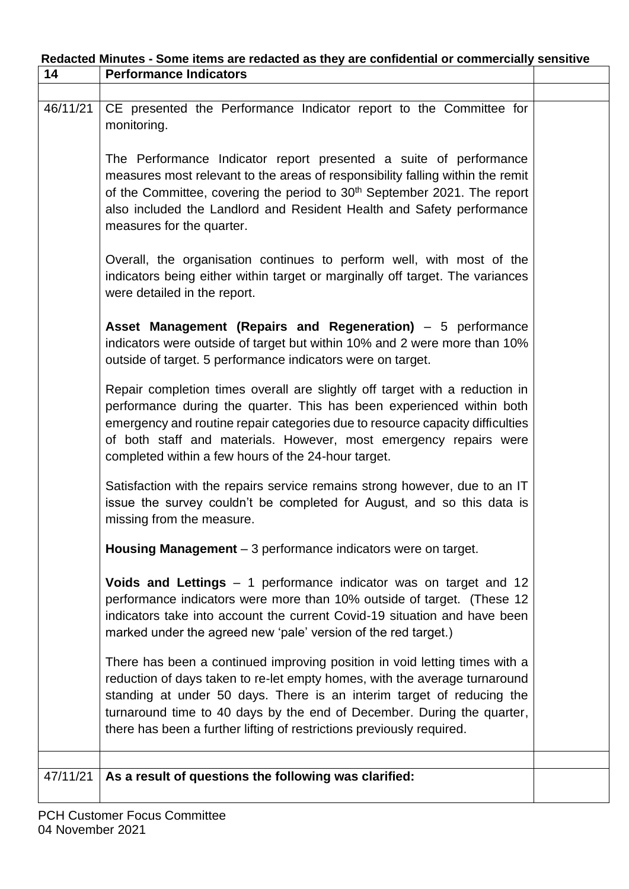| Redacted Minutes - Some items are redacted as they are confidential or commercially sensitive |                                                                                                                                                                                                                                                                                                                                                                                      |  |  |  |
|-----------------------------------------------------------------------------------------------|--------------------------------------------------------------------------------------------------------------------------------------------------------------------------------------------------------------------------------------------------------------------------------------------------------------------------------------------------------------------------------------|--|--|--|
| 14                                                                                            | <b>Performance Indicators</b>                                                                                                                                                                                                                                                                                                                                                        |  |  |  |
|                                                                                               |                                                                                                                                                                                                                                                                                                                                                                                      |  |  |  |
| 46/11/21                                                                                      | CE presented the Performance Indicator report to the Committee for<br>monitoring.                                                                                                                                                                                                                                                                                                    |  |  |  |
|                                                                                               | The Performance Indicator report presented a suite of performance<br>measures most relevant to the areas of responsibility falling within the remit<br>of the Committee, covering the period to 30 <sup>th</sup> September 2021. The report<br>also included the Landlord and Resident Health and Safety performance<br>measures for the quarter.                                    |  |  |  |
|                                                                                               | Overall, the organisation continues to perform well, with most of the<br>indicators being either within target or marginally off target. The variances<br>were detailed in the report.                                                                                                                                                                                               |  |  |  |
|                                                                                               | Asset Management (Repairs and Regeneration) – 5 performance<br>indicators were outside of target but within 10% and 2 were more than 10%<br>outside of target. 5 performance indicators were on target.                                                                                                                                                                              |  |  |  |
|                                                                                               | Repair completion times overall are slightly off target with a reduction in<br>performance during the quarter. This has been experienced within both<br>emergency and routine repair categories due to resource capacity difficulties<br>of both staff and materials. However, most emergency repairs were<br>completed within a few hours of the 24-hour target.                    |  |  |  |
|                                                                                               | Satisfaction with the repairs service remains strong however, due to an IT<br>issue the survey couldn't be completed for August, and so this data is<br>missing from the measure.                                                                                                                                                                                                    |  |  |  |
|                                                                                               | Housing Management - 3 performance indicators were on target.                                                                                                                                                                                                                                                                                                                        |  |  |  |
|                                                                                               | <b>Voids and Lettings</b> $-1$ performance indicator was on target and 12<br>performance indicators were more than 10% outside of target. (These 12<br>indicators take into account the current Covid-19 situation and have been<br>marked under the agreed new 'pale' version of the red target.)                                                                                   |  |  |  |
|                                                                                               | There has been a continued improving position in void letting times with a<br>reduction of days taken to re-let empty homes, with the average turnaround<br>standing at under 50 days. There is an interim target of reducing the<br>turnaround time to 40 days by the end of December. During the quarter,<br>there has been a further lifting of restrictions previously required. |  |  |  |
|                                                                                               |                                                                                                                                                                                                                                                                                                                                                                                      |  |  |  |
| 47/11/21                                                                                      | As a result of questions the following was clarified:                                                                                                                                                                                                                                                                                                                                |  |  |  |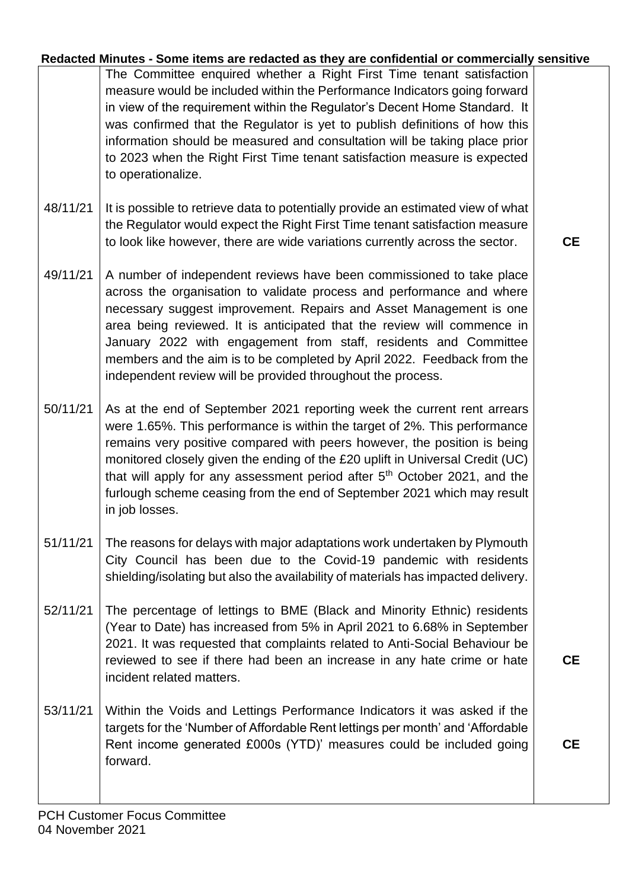| Redacted Minutes - Some items are redacted as they are confidential or commercially sensitive |  |  |  |
|-----------------------------------------------------------------------------------------------|--|--|--|
|                                                                                               |  |  |  |

The Committee enquired whether a Right First Time tenant satisfaction measure would be included within the Performance Indicators going forward in view of the requirement within the Regulator's Decent Home Standard. It was confirmed that the Regulator is yet to publish definitions of how this information should be measured and consultation will be taking place prior to 2023 when the Right First Time tenant satisfaction measure is expected to operationalize.

- 48/11/21 It is possible to retrieve data to potentially provide an estimated view of what the Regulator would expect the Right First Time tenant satisfaction measure to look like however, there are wide variations currently across the sector.
- 49/11/21 A number of independent reviews have been commissioned to take place across the organisation to validate process and performance and where necessary suggest improvement. Repairs and Asset Management is one area being reviewed. It is anticipated that the review will commence in January 2022 with engagement from staff, residents and Committee members and the aim is to be completed by April 2022. Feedback from the independent review will be provided throughout the process.
- 50/11/21 As at the end of September 2021 reporting week the current rent arrears were 1.65%. This performance is within the target of 2%. This performance remains very positive compared with peers however, the position is being monitored closely given the ending of the £20 uplift in Universal Credit (UC) that will apply for any assessment period after 5<sup>th</sup> October 2021, and the furlough scheme ceasing from the end of September 2021 which may result in job losses.
- 51/11/21 The reasons for delays with major adaptations work undertaken by Plymouth City Council has been due to the Covid-19 pandemic with residents shielding/isolating but also the availability of materials has impacted delivery.
- 52/11/21 The percentage of lettings to BME (Black and Minority Ethnic) residents (Year to Date) has increased from 5% in April 2021 to 6.68% in September 2021. It was requested that complaints related to Anti-Social Behaviour be reviewed to see if there had been an increase in any hate crime or hate incident related matters.
- 53/11/21 Within the Voids and Lettings Performance Indicators it was asked if the targets for the 'Number of Affordable Rent lettings per month' and 'Affordable Rent income generated £000s (YTD)' measures could be included going forward.

**CE**

**CE**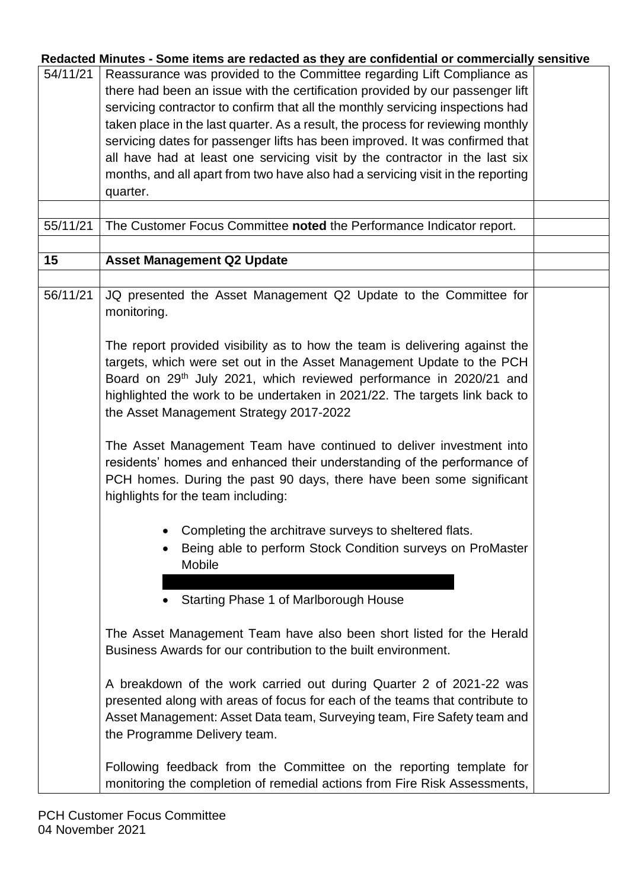| Redacted Minutes - Some items are redacted as they are confidential or commercially sensitive |  |  |
|-----------------------------------------------------------------------------------------------|--|--|
|                                                                                               |  |  |

| 54/11/21 | Reassurance was provided to the Committee regarding Lift Compliance as<br>there had been an issue with the certification provided by our passenger lift<br>servicing contractor to confirm that all the monthly servicing inspections had<br>taken place in the last quarter. As a result, the process for reviewing monthly<br>servicing dates for passenger lifts has been improved. It was confirmed that<br>all have had at least one servicing visit by the contractor in the last six<br>months, and all apart from two have also had a servicing visit in the reporting<br>quarter. |  |
|----------|--------------------------------------------------------------------------------------------------------------------------------------------------------------------------------------------------------------------------------------------------------------------------------------------------------------------------------------------------------------------------------------------------------------------------------------------------------------------------------------------------------------------------------------------------------------------------------------------|--|
|          |                                                                                                                                                                                                                                                                                                                                                                                                                                                                                                                                                                                            |  |
| 55/11/21 | The Customer Focus Committee noted the Performance Indicator report.                                                                                                                                                                                                                                                                                                                                                                                                                                                                                                                       |  |
| 15       | <b>Asset Management Q2 Update</b>                                                                                                                                                                                                                                                                                                                                                                                                                                                                                                                                                          |  |
|          |                                                                                                                                                                                                                                                                                                                                                                                                                                                                                                                                                                                            |  |
| 56/11/21 | JQ presented the Asset Management Q2 Update to the Committee for<br>monitoring.                                                                                                                                                                                                                                                                                                                                                                                                                                                                                                            |  |
|          | The report provided visibility as to how the team is delivering against the<br>targets, which were set out in the Asset Management Update to the PCH<br>Board on 29 <sup>th</sup> July 2021, which reviewed performance in 2020/21 and<br>highlighted the work to be undertaken in 2021/22. The targets link back to<br>the Asset Management Strategy 2017-2022                                                                                                                                                                                                                            |  |
|          | The Asset Management Team have continued to deliver investment into<br>residents' homes and enhanced their understanding of the performance of<br>PCH homes. During the past 90 days, there have been some significant<br>highlights for the team including:                                                                                                                                                                                                                                                                                                                               |  |
|          | • Completing the architrave surveys to sheltered flats.<br>Being able to perform Stock Condition surveys on ProMaster<br>Mobile<br>Starting Phase 1 of Marlborough House                                                                                                                                                                                                                                                                                                                                                                                                                   |  |
|          | The Asset Management Team have also been short listed for the Herald<br>Business Awards for our contribution to the built environment.                                                                                                                                                                                                                                                                                                                                                                                                                                                     |  |
|          | A breakdown of the work carried out during Quarter 2 of 2021-22 was<br>presented along with areas of focus for each of the teams that contribute to<br>Asset Management: Asset Data team, Surveying team, Fire Safety team and<br>the Programme Delivery team.                                                                                                                                                                                                                                                                                                                             |  |
|          | Following feedback from the Committee on the reporting template for<br>monitoring the completion of remedial actions from Fire Risk Assessments,                                                                                                                                                                                                                                                                                                                                                                                                                                           |  |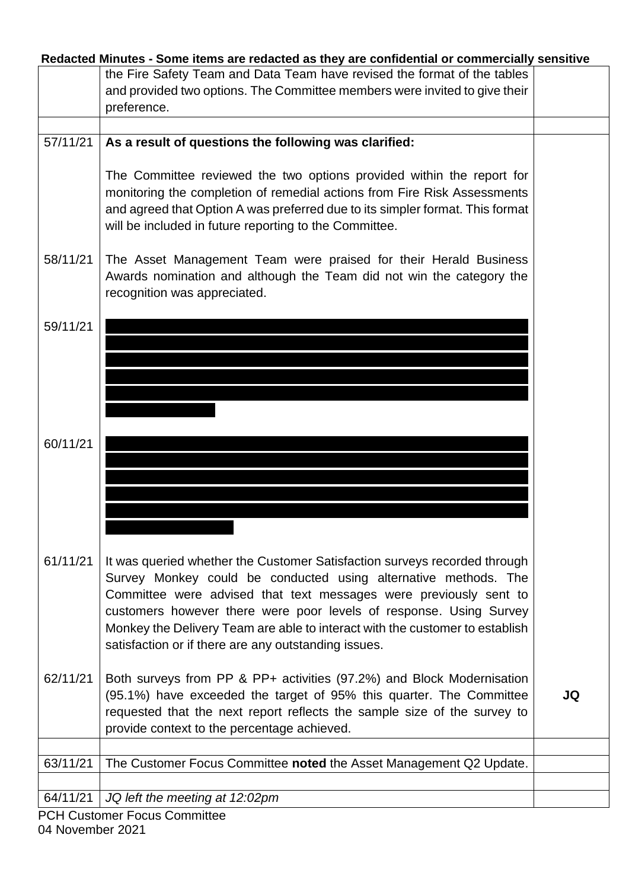|          | Redacted Minutes - Some items are redacted as they are confidential or commercially sensitive |    |
|----------|-----------------------------------------------------------------------------------------------|----|
|          | the Fire Safety Team and Data Team have revised the format of the tables                      |    |
|          | and provided two options. The Committee members were invited to give their                    |    |
|          | preference.                                                                                   |    |
|          |                                                                                               |    |
| 57/11/21 | As a result of questions the following was clarified:                                         |    |
|          |                                                                                               |    |
|          | The Committee reviewed the two options provided within the report for                         |    |
|          | monitoring the completion of remedial actions from Fire Risk Assessments                      |    |
|          |                                                                                               |    |
|          | and agreed that Option A was preferred due to its simpler format. This format                 |    |
|          | will be included in future reporting to the Committee.                                        |    |
|          |                                                                                               |    |
| 58/11/21 | The Asset Management Team were praised for their Herald Business                              |    |
|          | Awards nomination and although the Team did not win the category the                          |    |
|          | recognition was appreciated.                                                                  |    |
|          |                                                                                               |    |
| 59/11/21 |                                                                                               |    |
|          |                                                                                               |    |
|          |                                                                                               |    |
|          |                                                                                               |    |
|          |                                                                                               |    |
|          |                                                                                               |    |
|          |                                                                                               |    |
| 60/11/21 |                                                                                               |    |
|          |                                                                                               |    |
|          |                                                                                               |    |
|          |                                                                                               |    |
|          |                                                                                               |    |
|          |                                                                                               |    |
|          |                                                                                               |    |
| 61/11/21 | It was queried whether the Customer Satisfaction surveys recorded through                     |    |
|          |                                                                                               |    |
|          | Survey Monkey could be conducted using alternative methods. The                               |    |
|          | Committee were advised that text messages were previously sent to                             |    |
|          | customers however there were poor levels of response. Using Survey                            |    |
|          | Monkey the Delivery Team are able to interact with the customer to establish                  |    |
|          | satisfaction or if there are any outstanding issues.                                          |    |
|          |                                                                                               |    |
| 62/11/21 | Both surveys from PP & PP+ activities (97.2%) and Block Modernisation                         |    |
|          | (95.1%) have exceeded the target of 95% this quarter. The Committee                           | JQ |
|          | requested that the next report reflects the sample size of the survey to                      |    |
|          | provide context to the percentage achieved.                                                   |    |
|          |                                                                                               |    |
| 63/11/21 | The Customer Focus Committee noted the Asset Management Q2 Update.                            |    |
|          |                                                                                               |    |
| 64/11/21 | JQ left the meeting at 12:02pm                                                                |    |
|          | <b>PCH Customer Focus Committee</b>                                                           |    |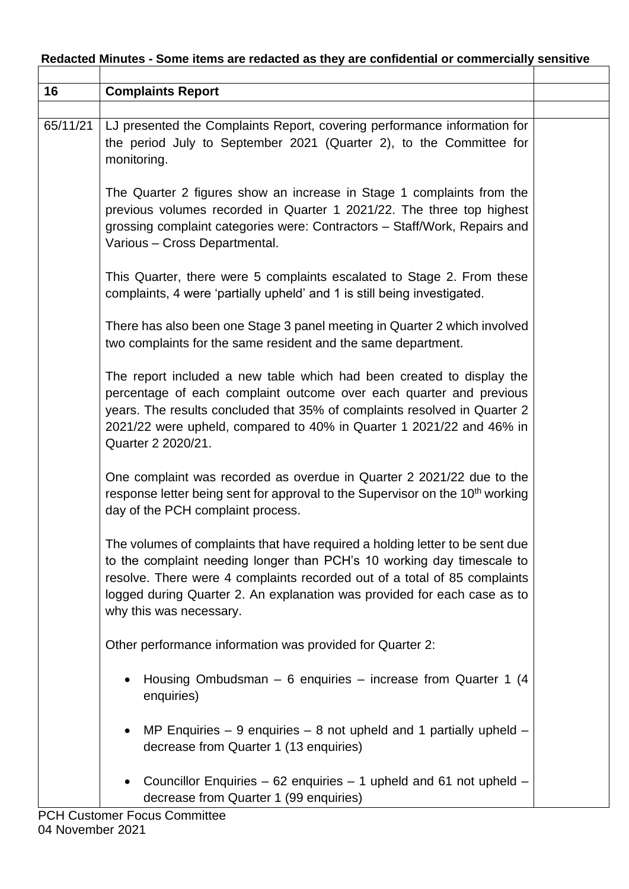| 16       | <b>Complaints Report</b>                                                                                                                                                                                                                                                                                                                   |  |
|----------|--------------------------------------------------------------------------------------------------------------------------------------------------------------------------------------------------------------------------------------------------------------------------------------------------------------------------------------------|--|
| 65/11/21 | LJ presented the Complaints Report, covering performance information for<br>the period July to September 2021 (Quarter 2), to the Committee for<br>monitoring.                                                                                                                                                                             |  |
|          | The Quarter 2 figures show an increase in Stage 1 complaints from the<br>previous volumes recorded in Quarter 1 2021/22. The three top highest<br>grossing complaint categories were: Contractors - Staff/Work, Repairs and<br>Various - Cross Departmental.                                                                               |  |
|          | This Quarter, there were 5 complaints escalated to Stage 2. From these<br>complaints, 4 were 'partially upheld' and 1 is still being investigated.                                                                                                                                                                                         |  |
|          | There has also been one Stage 3 panel meeting in Quarter 2 which involved<br>two complaints for the same resident and the same department.                                                                                                                                                                                                 |  |
|          | The report included a new table which had been created to display the<br>percentage of each complaint outcome over each quarter and previous<br>years. The results concluded that 35% of complaints resolved in Quarter 2<br>2021/22 were upheld, compared to 40% in Quarter 1 2021/22 and 46% in<br>Quarter 2 2020/21.                    |  |
|          | One complaint was recorded as overdue in Quarter 2 2021/22 due to the<br>response letter being sent for approval to the Supervisor on the 10 <sup>th</sup> working<br>day of the PCH complaint process.                                                                                                                                    |  |
|          | The volumes of complaints that have required a holding letter to be sent due<br>to the complaint needing longer than PCH's 10 working day timescale to<br>resolve. There were 4 complaints recorded out of a total of 85 complaints<br>logged during Quarter 2. An explanation was provided for each case as to<br>why this was necessary. |  |
|          | Other performance information was provided for Quarter 2:                                                                                                                                                                                                                                                                                  |  |
|          | Housing Ombudsman - 6 enquiries - increase from Quarter 1 (4<br>enquiries)                                                                                                                                                                                                                                                                 |  |
|          | MP Enquiries $-9$ enquiries $-8$ not upheld and 1 partially upheld $-$<br>decrease from Quarter 1 (13 enquiries)                                                                                                                                                                                                                           |  |
|          | Councillor Enquiries - 62 enquiries - 1 upheld and 61 not upheld -<br>decrease from Quarter 1 (99 enquiries)                                                                                                                                                                                                                               |  |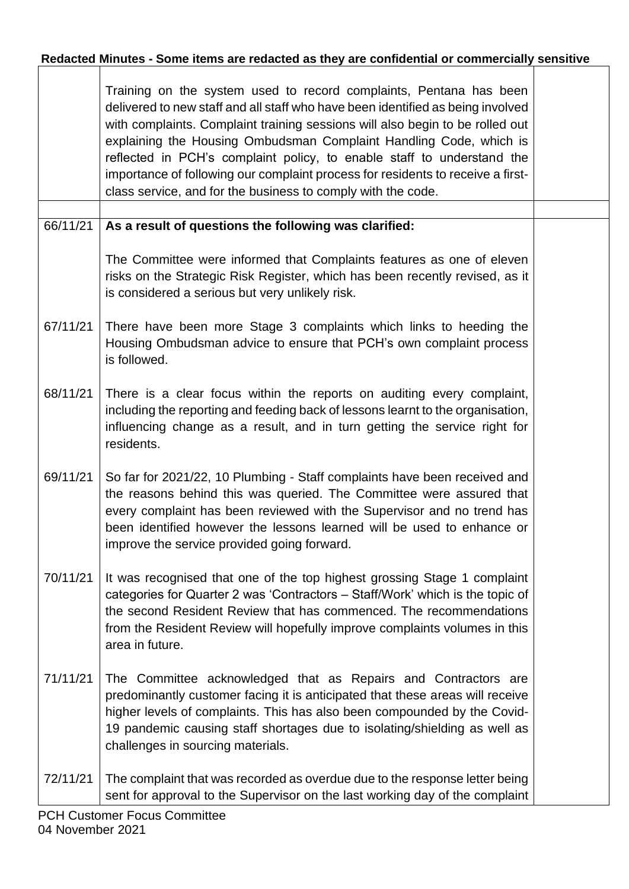|          | Training on the system used to record complaints, Pentana has been<br>delivered to new staff and all staff who have been identified as being involved<br>with complaints. Complaint training sessions will also begin to be rolled out<br>explaining the Housing Ombudsman Complaint Handling Code, which is<br>reflected in PCH's complaint policy, to enable staff to understand the<br>importance of following our complaint process for residents to receive a first-<br>class service, and for the business to comply with the code. |  |
|----------|-------------------------------------------------------------------------------------------------------------------------------------------------------------------------------------------------------------------------------------------------------------------------------------------------------------------------------------------------------------------------------------------------------------------------------------------------------------------------------------------------------------------------------------------|--|
|          |                                                                                                                                                                                                                                                                                                                                                                                                                                                                                                                                           |  |
| 66/11/21 | As a result of questions the following was clarified:                                                                                                                                                                                                                                                                                                                                                                                                                                                                                     |  |
|          | The Committee were informed that Complaints features as one of eleven<br>risks on the Strategic Risk Register, which has been recently revised, as it<br>is considered a serious but very unlikely risk.                                                                                                                                                                                                                                                                                                                                  |  |
| 67/11/21 | There have been more Stage 3 complaints which links to heeding the<br>Housing Ombudsman advice to ensure that PCH's own complaint process<br>is followed.                                                                                                                                                                                                                                                                                                                                                                                 |  |
| 68/11/21 | There is a clear focus within the reports on auditing every complaint,<br>including the reporting and feeding back of lessons learnt to the organisation,<br>influencing change as a result, and in turn getting the service right for<br>residents.                                                                                                                                                                                                                                                                                      |  |
| 69/11/21 | So far for 2021/22, 10 Plumbing - Staff complaints have been received and<br>the reasons behind this was queried. The Committee were assured that<br>every complaint has been reviewed with the Supervisor and no trend has<br>been identified however the lessons learned will be used to enhance or<br>improve the service provided going forward.                                                                                                                                                                                      |  |
| 70/11/21 | It was recognised that one of the top highest grossing Stage 1 complaint<br>categories for Quarter 2 was 'Contractors - Staff/Work' which is the topic of<br>the second Resident Review that has commenced. The recommendations<br>from the Resident Review will hopefully improve complaints volumes in this<br>area in future.                                                                                                                                                                                                          |  |
| 71/11/21 | The Committee acknowledged that as Repairs and Contractors are<br>predominantly customer facing it is anticipated that these areas will receive<br>higher levels of complaints. This has also been compounded by the Covid-<br>19 pandemic causing staff shortages due to isolating/shielding as well as<br>challenges in sourcing materials.                                                                                                                                                                                             |  |
| 72/11/21 | The complaint that was recorded as overdue due to the response letter being<br>sent for approval to the Supervisor on the last working day of the complaint                                                                                                                                                                                                                                                                                                                                                                               |  |
|          | DCU Customor Focus Committoo                                                                                                                                                                                                                                                                                                                                                                                                                                                                                                              |  |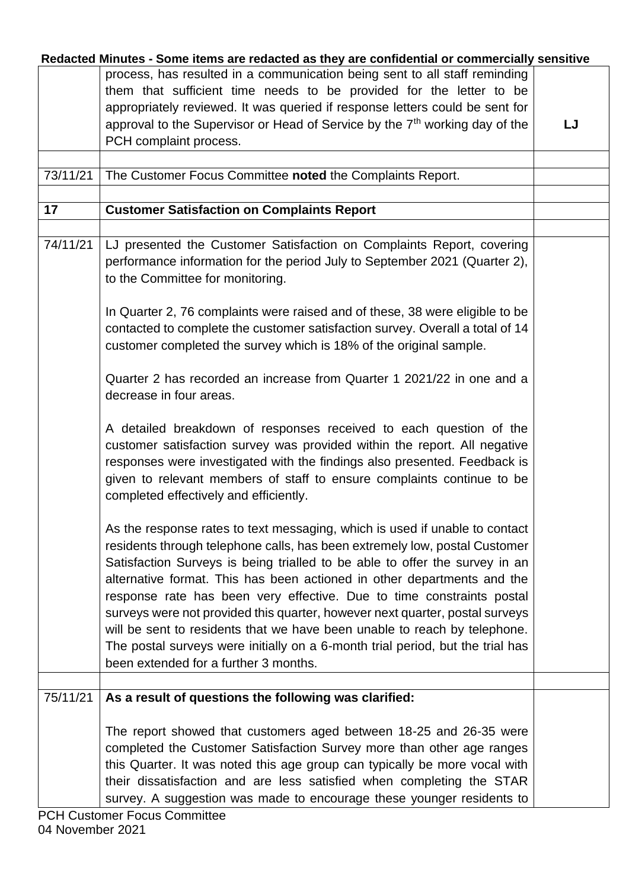|          | Redacted Minutes - Some items are redacted as they are confidential or commercially sensitive |    |
|----------|-----------------------------------------------------------------------------------------------|----|
|          | process, has resulted in a communication being sent to all staff reminding                    |    |
|          | them that sufficient time needs to be provided for the letter to be                           |    |
|          | appropriately reviewed. It was queried if response letters could be sent for                  |    |
|          | approval to the Supervisor or Head of Service by the 7 <sup>th</sup> working day of the       | LJ |
|          | PCH complaint process.                                                                        |    |
|          |                                                                                               |    |
| 73/11/21 | The Customer Focus Committee noted the Complaints Report.                                     |    |
|          |                                                                                               |    |
| 17       | <b>Customer Satisfaction on Complaints Report</b>                                             |    |
|          |                                                                                               |    |
|          |                                                                                               |    |
| 74/11/21 | LJ presented the Customer Satisfaction on Complaints Report, covering                         |    |
|          | performance information for the period July to September 2021 (Quarter 2),                    |    |
|          | to the Committee for monitoring.                                                              |    |
|          |                                                                                               |    |
|          | In Quarter 2, 76 complaints were raised and of these, 38 were eligible to be                  |    |
|          | contacted to complete the customer satisfaction survey. Overall a total of 14                 |    |
|          | customer completed the survey which is 18% of the original sample.                            |    |
|          |                                                                                               |    |
|          | Quarter 2 has recorded an increase from Quarter 1 2021/22 in one and a                        |    |
|          | decrease in four areas.                                                                       |    |
|          |                                                                                               |    |
|          |                                                                                               |    |
|          | A detailed breakdown of responses received to each question of the                            |    |
|          | customer satisfaction survey was provided within the report. All negative                     |    |
|          | responses were investigated with the findings also presented. Feedback is                     |    |
|          | given to relevant members of staff to ensure complaints continue to be                        |    |
|          | completed effectively and efficiently.                                                        |    |
|          |                                                                                               |    |
|          | As the response rates to text messaging, which is used if unable to contact                   |    |
|          | residents through telephone calls, has been extremely low, postal Customer                    |    |
|          | Satisfaction Surveys is being trialled to be able to offer the survey in an                   |    |
|          | alternative format. This has been actioned in other departments and the                       |    |
|          | response rate has been very effective. Due to time constraints postal                         |    |
|          | surveys were not provided this quarter, however next quarter, postal surveys                  |    |
|          |                                                                                               |    |
|          | will be sent to residents that we have been unable to reach by telephone.                     |    |
|          | The postal surveys were initially on a 6-month trial period, but the trial has                |    |
|          | been extended for a further 3 months.                                                         |    |
|          |                                                                                               |    |
| 75/11/21 | As a result of questions the following was clarified:                                         |    |
|          |                                                                                               |    |
|          | The report showed that customers aged between 18-25 and 26-35 were                            |    |
|          | completed the Customer Satisfaction Survey more than other age ranges                         |    |
|          | this Quarter. It was noted this age group can typically be more vocal with                    |    |
|          | their dissatisfaction and are less satisfied when completing the STAR                         |    |
|          | survey. A suggestion was made to encourage these younger residents to                         |    |
|          | <b>PCH Customer Focus Committee</b>                                                           |    |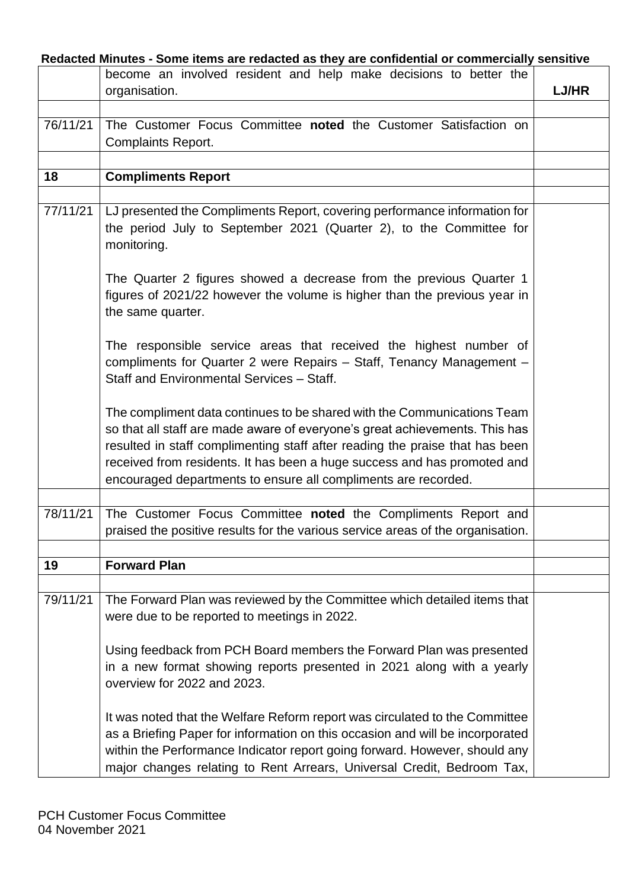|          | Redacted Minutes - Some items are redacted as they are confidential or commercially sensitive<br>become an involved resident and help make decisions to better the |              |
|----------|--------------------------------------------------------------------------------------------------------------------------------------------------------------------|--------------|
|          | organisation.                                                                                                                                                      | <b>LJ/HR</b> |
|          |                                                                                                                                                                    |              |
| 76/11/21 | The Customer Focus Committee noted the Customer Satisfaction on                                                                                                    |              |
|          | <b>Complaints Report.</b>                                                                                                                                          |              |
|          |                                                                                                                                                                    |              |
|          |                                                                                                                                                                    |              |
| 18       | <b>Compliments Report</b>                                                                                                                                          |              |
|          |                                                                                                                                                                    |              |
| 77/11/21 | LJ presented the Compliments Report, covering performance information for<br>the period July to September 2021 (Quarter 2), to the Committee for<br>monitoring.    |              |
|          | The Quarter 2 figures showed a decrease from the previous Quarter 1                                                                                                |              |
|          |                                                                                                                                                                    |              |
|          | figures of 2021/22 however the volume is higher than the previous year in<br>the same quarter.                                                                     |              |
|          | The responsible service areas that received the highest number of                                                                                                  |              |
|          | compliments for Quarter 2 were Repairs - Staff, Tenancy Management -                                                                                               |              |
|          | Staff and Environmental Services - Staff.                                                                                                                          |              |
|          | The compliment data continues to be shared with the Communications Team                                                                                            |              |
|          | so that all staff are made aware of everyone's great achievements. This has                                                                                        |              |
|          | resulted in staff complimenting staff after reading the praise that has been                                                                                       |              |
|          | received from residents. It has been a huge success and has promoted and                                                                                           |              |
|          | encouraged departments to ensure all compliments are recorded.                                                                                                     |              |
|          |                                                                                                                                                                    |              |
| 78/11/21 | The Customer Focus Committee noted the Compliments Report and                                                                                                      |              |
|          | praised the positive results for the various service areas of the organisation.                                                                                    |              |
|          |                                                                                                                                                                    |              |
| 19       | <b>Forward Plan</b>                                                                                                                                                |              |
|          |                                                                                                                                                                    |              |
| 79/11/21 | The Forward Plan was reviewed by the Committee which detailed items that                                                                                           |              |
|          | were due to be reported to meetings in 2022.                                                                                                                       |              |
|          | Using feedback from PCH Board members the Forward Plan was presented                                                                                               |              |
|          | in a new format showing reports presented in 2021 along with a yearly                                                                                              |              |
|          | overview for 2022 and 2023.                                                                                                                                        |              |
|          | It was noted that the Welfare Reform report was circulated to the Committee                                                                                        |              |
|          | as a Briefing Paper for information on this occasion and will be incorporated                                                                                      |              |
|          | within the Performance Indicator report going forward. However, should any                                                                                         |              |
|          | major changes relating to Rent Arrears, Universal Credit, Bedroom Tax,                                                                                             |              |